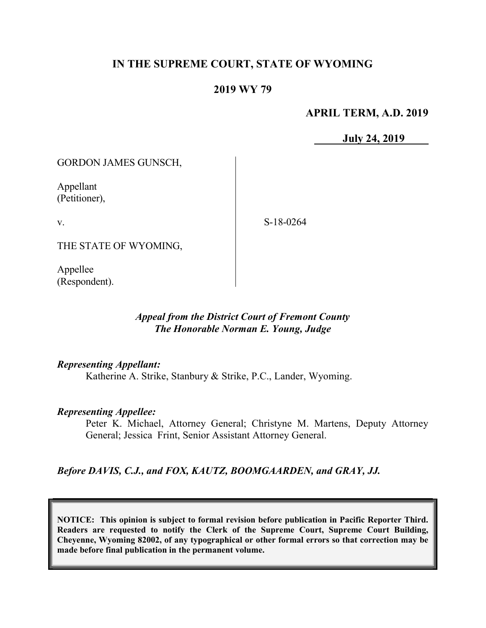# IN THE SUPREME COURT, STATE OF WYOMING

# 2019 WY 79

## APRIL TERM, A.D. 2019

July 24, 2019

GORDON JAMES GUNSCH,

Appellant (Petitioner),

v.

S-18-0264

THE STATE OF WYOMING,

Appellee (Respondent).

## Appeal from the District Court of Fremont County The Honorable Norman E. Young, Judge

### Representing Appellant:

Katherine A. Strike, Stanbury & Strike, P.C., Lander, Wyoming.

### Representing Appellee:

Peter K. Michael, Attorney General; Christyne M. Martens, Deputy Attorney General; Jessica Frint, Senior Assistant Attorney General.

Before DAVIS, C.J., and FOX, KAUTZ, BOOMGAARDEN, and GRAY, JJ.

NOTICE: This opinion is subject to formal revision before publication in Pacific Reporter Third. Readers are requested to notify the Clerk of the Supreme Court, Supreme Court Building, Cheyenne, Wyoming 82002, of any typographical or other formal errors so that correction may be made before final publication in the permanent volume.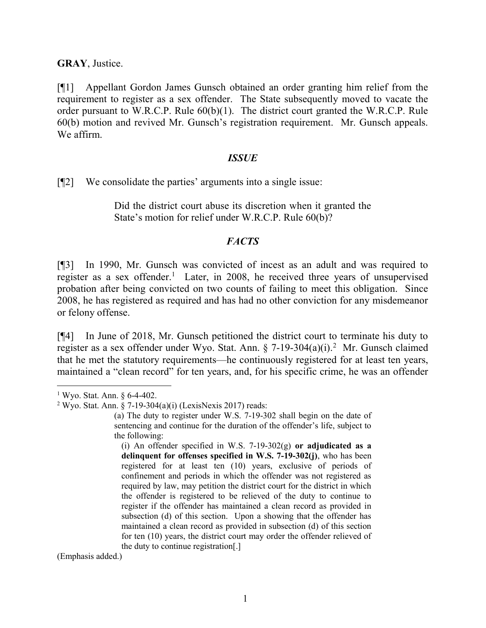#### GRAY, Justice.

[¶1] Appellant Gordon James Gunsch obtained an order granting him relief from the requirement to register as a sex offender. The State subsequently moved to vacate the order pursuant to W.R.C.P. Rule 60(b)(1). The district court granted the W.R.C.P. Rule 60(b) motion and revived Mr. Gunsch's registration requirement. Mr. Gunsch appeals. We affirm.

#### **ISSUE**

[¶2] We consolidate the parties' arguments into a single issue:

Did the district court abuse its discretion when it granted the State's motion for relief under W.R.C.P. Rule 60(b)?

## **FACTS**

[¶3] In 1990, Mr. Gunsch was convicted of incest as an adult and was required to register as a sex offender.<sup>1</sup> Later, in 2008, he received three years of unsupervised probation after being convicted on two counts of failing to meet this obligation. Since 2008, he has registered as required and has had no other conviction for any misdemeanor or felony offense.

[¶4] In June of 2018, Mr. Gunsch petitioned the district court to terminate his duty to register as a sex offender under Wyo. Stat. Ann.  $\S$  7-19-304(a)(i).<sup>2</sup> Mr. Gunsch claimed that he met the statutory requirements—he continuously registered for at least ten years, maintained a "clean record" for ten years, and, for his specific crime, he was an offender

 $\overline{a}$ 

(Emphasis added.)

<sup>1</sup> Wyo. Stat. Ann. § 6-4-402.

<sup>&</sup>lt;sup>2</sup> Wyo. Stat. Ann. § 7-19-304(a)(i) (LexisNexis 2017) reads:

<sup>(</sup>a) The duty to register under W.S. 7-19-302 shall begin on the date of sentencing and continue for the duration of the offender's life, subject to the following:

<sup>(</sup>i) An offender specified in W.S. 7-19-302 $(g)$  or adjudicated as a delinquent for offenses specified in W.S. 7-19-302(j), who has been registered for at least ten (10) years, exclusive of periods of confinement and periods in which the offender was not registered as required by law, may petition the district court for the district in which the offender is registered to be relieved of the duty to continue to register if the offender has maintained a clean record as provided in subsection (d) of this section. Upon a showing that the offender has maintained a clean record as provided in subsection (d) of this section for ten (10) years, the district court may order the offender relieved of the duty to continue registration[.]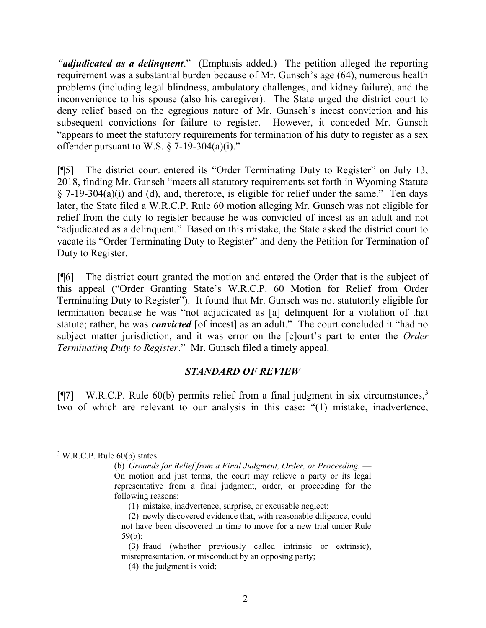"*adjudicated as a delinquent*." (Emphasis added.) The petition alleged the reporting requirement was a substantial burden because of Mr. Gunsch's age (64), numerous health problems (including legal blindness, ambulatory challenges, and kidney failure), and the inconvenience to his spouse (also his caregiver). The State urged the district court to deny relief based on the egregious nature of Mr. Gunsch's incest conviction and his subsequent convictions for failure to register. However, it conceded Mr. Gunsch "appears to meet the statutory requirements for termination of his duty to register as a sex offender pursuant to W.S.  $\S$  7-19-304(a)(i)."

[¶5] The district court entered its "Order Terminating Duty to Register" on July 13, 2018, finding Mr. Gunsch "meets all statutory requirements set forth in Wyoming Statute  $\S$  7-19-304(a)(i) and (d), and, therefore, is eligible for relief under the same." Ten days later, the State filed a W.R.C.P. Rule 60 motion alleging Mr. Gunsch was not eligible for relief from the duty to register because he was convicted of incest as an adult and not "adjudicated as a delinquent." Based on this mistake, the State asked the district court to vacate its "Order Terminating Duty to Register" and deny the Petition for Termination of Duty to Register.

[¶6] The district court granted the motion and entered the Order that is the subject of this appeal ("Order Granting State's W.R.C.P. 60 Motion for Relief from Order Terminating Duty to Register"). It found that Mr. Gunsch was not statutorily eligible for termination because he was "not adjudicated as [a] delinquent for a violation of that statute; rather, he was *convicted* [of incest] as an adult." The court concluded it "had no subject matter jurisdiction, and it was error on the [c]ourt's part to enter the *Order* Terminating Duty to Register." Mr. Gunsch filed a timely appeal.

### STANDARD OF REVIEW

[ $[$ ] W.R.C.P. Rule 60(b) permits relief from a final judgment in six circumstances,<sup>3</sup> two of which are relevant to our analysis in this case: "(1) mistake, inadvertence,

 $\overline{a}$ 

 $3$  W.R.C.P. Rule  $60(b)$  states:

<sup>(</sup>b) Grounds for Relief from a Final Judgment, Order, or Proceeding. — On motion and just terms, the court may relieve a party or its legal representative from a final judgment, order, or proceeding for the following reasons:

 <sup>(1)</sup> mistake, inadvertence, surprise, or excusable neglect;

 <sup>(2)</sup> newly discovered evidence that, with reasonable diligence, could not have been discovered in time to move for a new trial under Rule 59(b);

 <sup>(3)</sup> fraud (whether previously called intrinsic or extrinsic), misrepresentation, or misconduct by an opposing party;

 <sup>(4)</sup> the judgment is void;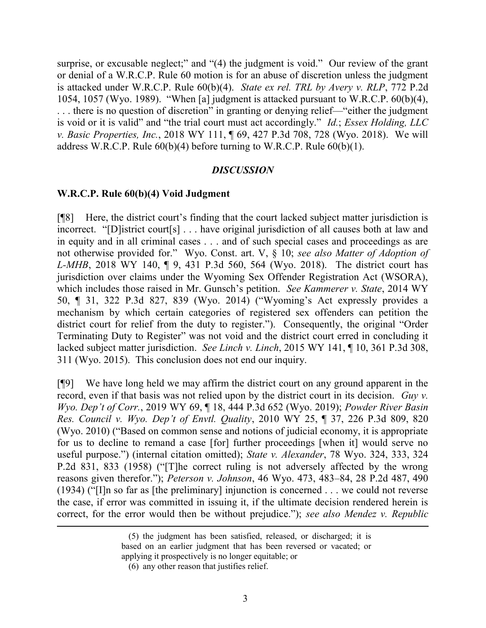surprise, or excusable neglect;" and "(4) the judgment is void." Our review of the grant or denial of a W.R.C.P. Rule 60 motion is for an abuse of discretion unless the judgment is attacked under W.R.C.P. Rule 60(b)(4). State ex rel. TRL by Avery v. RLP, 772 P.2d 1054, 1057 (Wyo. 1989). "When [a] judgment is attacked pursuant to W.R.C.P. 60(b)(4), . . . there is no question of discretion" in granting or denying relief—"either the judgment is void or it is valid" and "the trial court must act accordingly." *Id.*; *Essex Holding*, *LLC* v. Basic Properties, Inc., 2018 WY 111, ¶ 69, 427 P.3d 708, 728 (Wyo. 2018). We will address W.R.C.P. Rule  $60(b)(4)$  before turning to W.R.C.P. Rule  $60(b)(1)$ .

#### **DISCUSSION**

#### W.R.C.P. Rule 60(b)(4) Void Judgment

[¶8] Here, the district court's finding that the court lacked subject matter jurisdiction is incorrect. "[D]istrict court[s] . . . have original jurisdiction of all causes both at law and in equity and in all criminal cases . . . and of such special cases and proceedings as are not otherwise provided for." Wyo. Const. art. V, § 10; see also Matter of Adoption of L-MHB, 2018 WY 140, ¶ 9, 431 P.3d 560, 564 (Wyo. 2018). The district court has jurisdiction over claims under the Wyoming Sex Offender Registration Act (WSORA), which includes those raised in Mr. Gunsch's petition. See Kammerer v. State, 2014 WY 50, ¶ 31, 322 P.3d 827, 839 (Wyo. 2014) ("Wyoming's Act expressly provides a mechanism by which certain categories of registered sex offenders can petition the district court for relief from the duty to register."). Consequently, the original "Order Terminating Duty to Register" was not void and the district court erred in concluding it lacked subject matter jurisdiction. See Linch v. Linch, 2015 WY 141, 10, 361 P.3d 308, 311 (Wyo. 2015). This conclusion does not end our inquiry.

[¶9] We have long held we may affirm the district court on any ground apparent in the record, even if that basis was not relied upon by the district court in its decision. Guy v. Wyo. Dep't of Corr., 2019 WY 69, ¶ 18, 444 P.3d 652 (Wyo. 2019); Powder River Basin Res. Council v. Wyo. Dep't of Envtl. Quality, 2010 WY 25, ¶ 37, 226 P.3d 809, 820 (Wyo. 2010) ("Based on common sense and notions of judicial economy, it is appropriate for us to decline to remand a case [for] further proceedings [when it] would serve no useful purpose.") (internal citation omitted); State v. Alexander, 78 Wyo. 324, 333, 324 P.2d 831, 833 (1958) ("[T]he correct ruling is not adversely affected by the wrong reasons given therefor."); Peterson v. Johnson, 46 Wyo. 473, 483–84, 28 P.2d 487, 490 (1934) ("[I]n so far as [the preliminary] injunction is concerned . . . we could not reverse the case, if error was committed in issuing it, if the ultimate decision rendered herein is correct, for the error would then be without prejudice."); see also Mendez v. Republic

 $\overline{a}$ 

 <sup>(5)</sup> the judgment has been satisfied, released, or discharged; it is based on an earlier judgment that has been reversed or vacated; or applying it prospectively is no longer equitable; or

 <sup>(6)</sup> any other reason that justifies relief.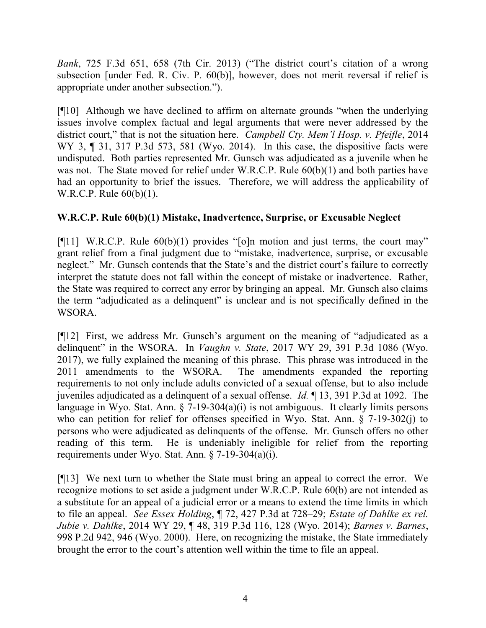Bank, 725 F.3d 651, 658 (7th Cir. 2013) ("The district court's citation of a wrong subsection [under Fed. R. Civ. P. 60(b)], however, does not merit reversal if relief is appropriate under another subsection.").

[¶10] Although we have declined to affirm on alternate grounds "when the underlying issues involve complex factual and legal arguments that were never addressed by the district court," that is not the situation here. Campbell Cty. Mem'l Hosp. v. Pfeifle, 2014 WY 3, ¶ 31, 317 P.3d 573, 581 (Wyo. 2014). In this case, the dispositive facts were undisputed. Both parties represented Mr. Gunsch was adjudicated as a juvenile when he was not. The State moved for relief under W.R.C.P. Rule  $60(b)(1)$  and both parties have had an opportunity to brief the issues. Therefore, we will address the applicability of W.R.C.P. Rule 60(b)(1).

# W.R.C.P. Rule 60(b)(1) Mistake, Inadvertence, Surprise, or Excusable Neglect

[ $[$ [11] W.R.C.P. Rule 60(b)(1) provides "[o]n motion and just terms, the court may" grant relief from a final judgment due to "mistake, inadvertence, surprise, or excusable neglect." Mr. Gunsch contends that the State's and the district court's failure to correctly interpret the statute does not fall within the concept of mistake or inadvertence. Rather, the State was required to correct any error by bringing an appeal. Mr. Gunsch also claims the term "adjudicated as a delinquent" is unclear and is not specifically defined in the WSORA.

[¶12] First, we address Mr. Gunsch's argument on the meaning of "adjudicated as a delinquent" in the WSORA. In Vaughn v. State, 2017 WY 29, 391 P.3d 1086 (Wyo. 2017), we fully explained the meaning of this phrase. This phrase was introduced in the 2011 amendments to the WSORA. The amendments expanded the reporting requirements to not only include adults convicted of a sexual offense, but to also include juveniles adjudicated as a delinquent of a sexual offense. Id. ¶ 13, 391 P.3d at 1092. The language in Wyo. Stat. Ann.  $\S$  7-19-304(a)(i) is not ambiguous. It clearly limits persons who can petition for relief for offenses specified in Wyo. Stat. Ann.  $\S$  7-19-302(j) to persons who were adjudicated as delinquents of the offense. Mr. Gunsch offers no other reading of this term. He is undeniably ineligible for relief from the reporting requirements under Wyo. Stat. Ann. § 7-19-304(a)(i).

[¶13] We next turn to whether the State must bring an appeal to correct the error. We recognize motions to set aside a judgment under W.R.C.P. Rule 60(b) are not intended as a substitute for an appeal of a judicial error or a means to extend the time limits in which to file an appeal. See Essex Holding, ¶ 72, 427 P.3d at 728–29; Estate of Dahlke ex rel. Jubie v. Dahlke, 2014 WY 29, ¶ 48, 319 P.3d 116, 128 (Wyo. 2014); Barnes v. Barnes, 998 P.2d 942, 946 (Wyo. 2000). Here, on recognizing the mistake, the State immediately brought the error to the court's attention well within the time to file an appeal.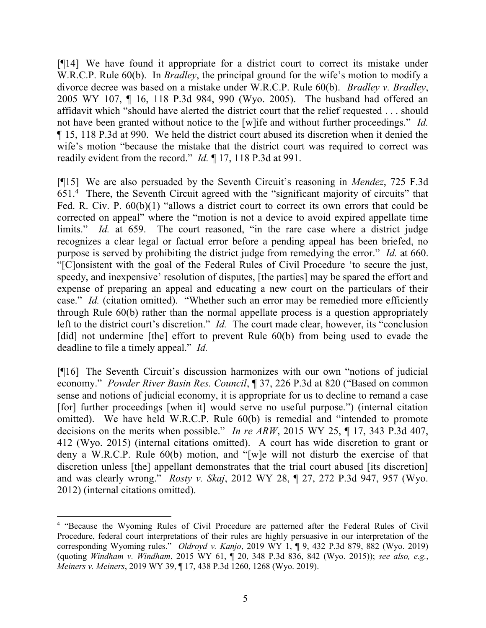[¶14] We have found it appropriate for a district court to correct its mistake under W.R.C.P. Rule 60(b). In *Bradley*, the principal ground for the wife's motion to modify a divorce decree was based on a mistake under W.R.C.P. Rule 60(b). *Bradley v. Bradley*, 2005 WY 107, ¶ 16, 118 P.3d 984, 990 (Wyo. 2005). The husband had offered an affidavit which "should have alerted the district court that the relief requested . . . should not have been granted without notice to the [w]ife and without further proceedings." Id. ¶ 15, 118 P.3d at 990. We held the district court abused its discretion when it denied the wife's motion "because the mistake that the district court was required to correct was readily evident from the record." *Id.* 17, 118 P.3d at 991.

[¶15] We are also persuaded by the Seventh Circuit's reasoning in Mendez, 725 F.3d 651.<sup>4</sup> There, the Seventh Circuit agreed with the "significant majority of circuits" that Fed. R. Civ. P.  $60(b)(1)$  "allows a district court to correct its own errors that could be corrected on appeal" where the "motion is not a device to avoid expired appellate time limits." Id. at 659. The court reasoned, "in the rare case where a district judge recognizes a clear legal or factual error before a pending appeal has been briefed, no purpose is served by prohibiting the district judge from remedying the error." Id. at 660. "[C]onsistent with the goal of the Federal Rules of Civil Procedure 'to secure the just, speedy, and inexpensive' resolution of disputes, [the parties] may be spared the effort and expense of preparing an appeal and educating a new court on the particulars of their case." Id. (citation omitted). "Whether such an error may be remedied more efficiently through Rule 60(b) rather than the normal appellate process is a question appropriately left to the district court's discretion." *Id.* The court made clear, however, its "conclusion" [did] not undermine [the] effort to prevent Rule 60(b) from being used to evade the deadline to file a timely appeal." *Id.* 

[¶16] The Seventh Circuit's discussion harmonizes with our own "notions of judicial economy." Powder River Basin Res. Council, ¶ 37, 226 P.3d at 820 ("Based on common sense and notions of judicial economy, it is appropriate for us to decline to remand a case [for] further proceedings [when it] would serve no useful purpose.") (internal citation omitted). We have held W.R.C.P. Rule 60(b) is remedial and "intended to promote decisions on the merits when possible." In re ARW, 2015 WY 25,  $\P$  17, 343 P.3d 407, 412 (Wyo. 2015) (internal citations omitted). A court has wide discretion to grant or deny a W.R.C.P. Rule 60(b) motion, and "[w]e will not disturb the exercise of that discretion unless [the] appellant demonstrates that the trial court abused [its discretion] and was clearly wrong." Rosty v. Skaj, 2012 WY 28, ¶ 27, 272 P.3d 947, 957 (Wyo. 2012) (internal citations omitted).

 $\overline{a}$ <sup>4</sup> "Because the Wyoming Rules of Civil Procedure are patterned after the Federal Rules of Civil Procedure, federal court interpretations of their rules are highly persuasive in our interpretation of the corresponding Wyoming rules." Oldroyd v. Kanjo, 2019 WY 1, ¶ 9, 432 P.3d 879, 882 (Wyo. 2019) (quoting Windham v. Windham, 2015 WY 61, ¶ 20, 348 P.3d 836, 842 (Wyo. 2015)); see also, e.g., Meiners v. Meiners, 2019 WY 39, ¶ 17, 438 P.3d 1260, 1268 (Wyo. 2019).